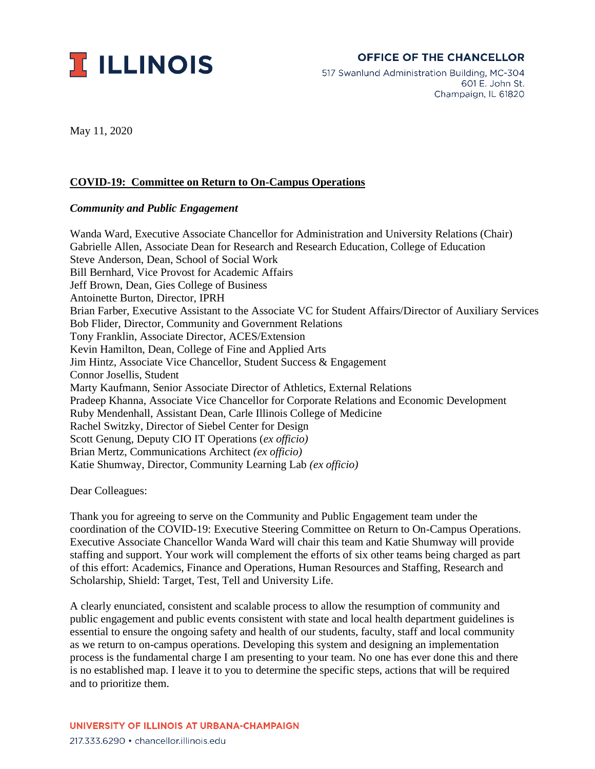

## **OFFICE OF THE CHANCELLOR**

517 Swanlund Administration Building, MC-304 601 E. John St. Champaign, IL 61820

May 11, 2020

## **COVID-19: Committee on Return to On-Campus Operations**

## *Community and Public Engagement*

Wanda Ward, Executive Associate Chancellor for Administration and University Relations (Chair) Gabrielle Allen, Associate Dean for Research and Research Education, College of Education Steve Anderson, Dean, School of Social Work Bill Bernhard, Vice Provost for Academic Affairs Jeff Brown, Dean, Gies College of Business Antoinette Burton, Director, IPRH Brian Farber, Executive Assistant to the Associate VC for Student Affairs/Director of Auxiliary Services Bob Flider, Director, Community and Government Relations Tony Franklin, Associate Director, ACES/Extension Kevin Hamilton, Dean, College of Fine and Applied Arts Jim Hintz, Associate Vice Chancellor, Student Success & Engagement Connor Josellis, Student Marty Kaufmann, Senior Associate Director of Athletics, External Relations Pradeep Khanna, Associate Vice Chancellor for Corporate Relations and Economic Development Ruby Mendenhall, Assistant Dean, Carle Illinois College of Medicine Rachel Switzky, Director of Siebel Center for Design Scott Genung, Deputy CIO IT Operations (*ex officio)* Brian Mertz, Communications Architect *(ex officio)* Katie Shumway, Director, Community Learning Lab *(ex officio)*

Dear Colleagues:

Thank you for agreeing to serve on the Community and Public Engagement team under the coordination of the COVID-19: Executive Steering Committee on Return to On-Campus Operations. Executive Associate Chancellor Wanda Ward will chair this team and Katie Shumway will provide staffing and support. Your work will complement the efforts of six other teams being charged as part of this effort: Academics, Finance and Operations, Human Resources and Staffing, Research and Scholarship, Shield: Target, Test, Tell and University Life.

A clearly enunciated, consistent and scalable process to allow the resumption of community and public engagement and public events consistent with state and local health department guidelines is essential to ensure the ongoing safety and health of our students, faculty, staff and local community as we return to on-campus operations. Developing this system and designing an implementation process is the fundamental charge I am presenting to your team. No one has ever done this and there is no established map. I leave it to you to determine the specific steps, actions that will be required and to prioritize them.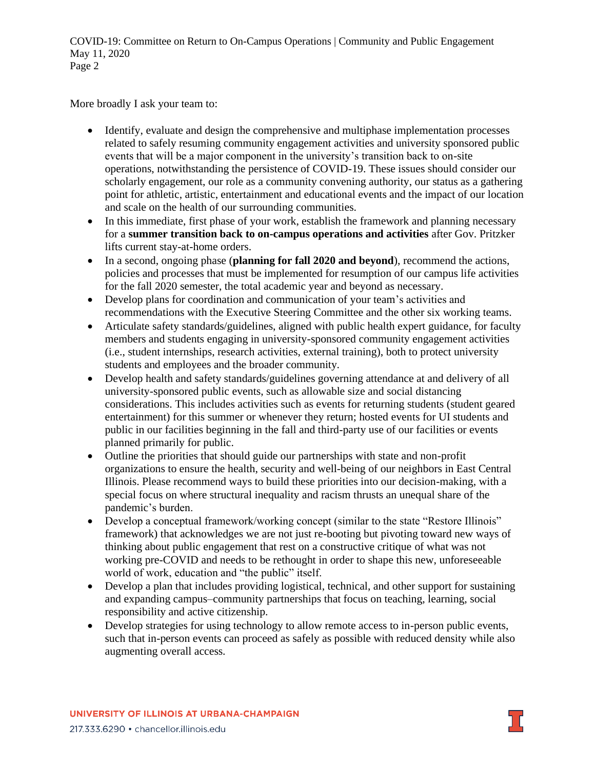COVID-19: Committee on Return to On-Campus Operations | Community and Public Engagement May 11, 2020 Page 2

More broadly I ask your team to:

- Identify, evaluate and design the comprehensive and multiphase implementation processes related to safely resuming community engagement activities and university sponsored public events that will be a major component in the university's transition back to on-site operations, notwithstanding the persistence of COVID-19. These issues should consider our scholarly engagement, our role as a community convening authority, our status as a gathering point for athletic, artistic, entertainment and educational events and the impact of our location and scale on the health of our surrounding communities.
- In this immediate, first phase of your work, establish the framework and planning necessary for a **summer transition back to on-campus operations and activities** after Gov. Pritzker lifts current stay-at-home orders.
- In a second, ongoing phase (**planning for fall 2020 and beyond**), recommend the actions, policies and processes that must be implemented for resumption of our campus life activities for the fall 2020 semester, the total academic year and beyond as necessary.
- Develop plans for coordination and communication of your team's activities and recommendations with the Executive Steering Committee and the other six working teams.
- Articulate safety standards/guidelines, aligned with public health expert guidance, for faculty members and students engaging in university-sponsored community engagement activities (i.e., student internships, research activities, external training), both to protect university students and employees and the broader community.
- Develop health and safety standards/guidelines governing attendance at and delivery of all university-sponsored public events, such as allowable size and social distancing considerations. This includes activities such as events for returning students (student geared entertainment) for this summer or whenever they return; hosted events for UI students and public in our facilities beginning in the fall and third-party use of our facilities or events planned primarily for public.
- Outline the priorities that should guide our partnerships with state and non-profit organizations to ensure the health, security and well-being of our neighbors in East Central Illinois. Please recommend ways to build these priorities into our decision-making, with a special focus on where structural inequality and racism thrusts an unequal share of the pandemic's burden.
- Develop a conceptual framework/working concept (similar to the state "Restore Illinois" framework) that acknowledges we are not just re-booting but pivoting toward new ways of thinking about public engagement that rest on a constructive critique of what was not working pre-COVID and needs to be rethought in order to shape this new, unforeseeable world of work, education and "the public" itself.
- Develop a plan that includes providing logistical, technical, and other support for sustaining and expanding campus–community partnerships that focus on teaching, learning, social responsibility and active citizenship.
- Develop strategies for using technology to allow remote access to in-person public events, such that in-person events can proceed as safely as possible with reduced density while also augmenting overall access.